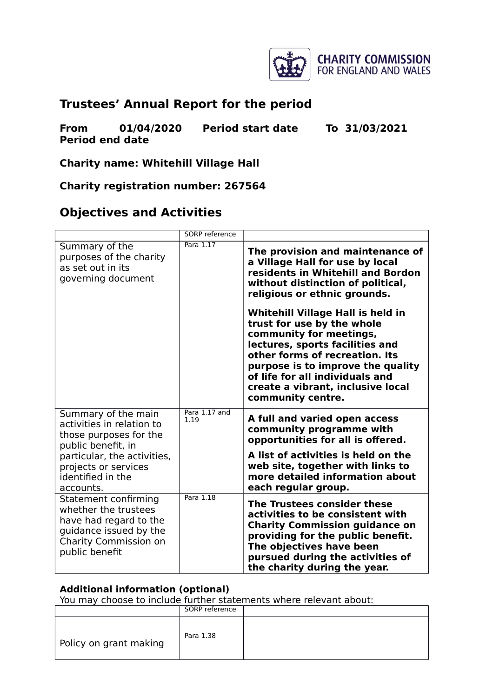

# **Trustees' Annual Report for the period**

**From 01/04/2020 Period start date To 31/03/2021 Period end date**

**Charity name: Whitehill Village Hall**

**Charity registration number: 267564**

### **Objectives and Activities**

|                                                                                                                                                                              | <b>SORP</b> reference |                                                                                                                                                                                                                                                                                                          |
|------------------------------------------------------------------------------------------------------------------------------------------------------------------------------|-----------------------|----------------------------------------------------------------------------------------------------------------------------------------------------------------------------------------------------------------------------------------------------------------------------------------------------------|
| Summary of the<br>purposes of the charity<br>as set out in its<br>governing document                                                                                         | Para 1.17             | The provision and maintenance of<br>a Village Hall for use by local<br>residents in Whitehill and Bordon<br>without distinction of political,<br>religious or ethnic grounds.                                                                                                                            |
|                                                                                                                                                                              |                       | <b>Whitehill Village Hall is held in</b><br>trust for use by the whole<br>community for meetings,<br>lectures, sports facilities and<br>other forms of recreation. Its<br>purpose is to improve the quality<br>of life for all individuals and<br>create a vibrant, inclusive local<br>community centre. |
| Summary of the main<br>activities in relation to<br>those purposes for the<br>public benefit, in<br>particular, the activities,<br>projects or services<br>identified in the | Para 1.17 and<br>1.19 | A full and varied open access<br>community programme with<br>opportunities for all is offered.<br>A list of activities is held on the<br>web site, together with links to<br>more detailed information about                                                                                             |
| accounts.<br>Statement confirming<br>whether the trustees<br>have had regard to the<br>guidance issued by the<br>Charity Commission on<br>public benefit                     | Para 1.18             | each regular group.<br>The Trustees consider these<br>activities to be consistent with<br><b>Charity Commission guidance on</b><br>providing for the public benefit.<br>The objectives have been<br>pursued during the activities of<br>the charity during the year.                                     |

#### **Additional information (optional)**

|                        | SORP reference |  |
|------------------------|----------------|--|
| Policy on grant making | Para 1.38      |  |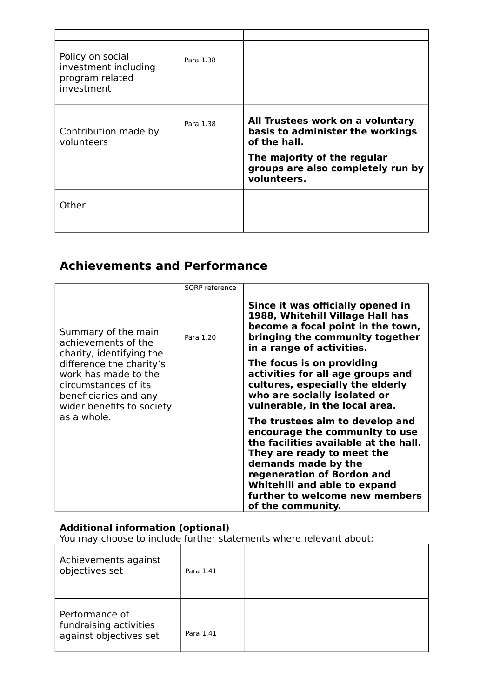| Policy on social<br>investment including<br>program related<br>investment | Para 1.38 |                                                                                                                                                                         |
|---------------------------------------------------------------------------|-----------|-------------------------------------------------------------------------------------------------------------------------------------------------------------------------|
| Contribution made by<br>volunteers                                        | Para 1.38 | All Trustees work on a voluntary<br>basis to administer the workings<br>of the hall.<br>The majority of the regular<br>groups are also completely run by<br>volunteers. |
| Other                                                                     |           |                                                                                                                                                                         |

# **Achievements and Performance**

|                                                                                                                                                                                                          | SORP reference |                                                                                                                                                                                                                                                                                      |
|----------------------------------------------------------------------------------------------------------------------------------------------------------------------------------------------------------|----------------|--------------------------------------------------------------------------------------------------------------------------------------------------------------------------------------------------------------------------------------------------------------------------------------|
| Summary of the main<br>achievements of the<br>charity, identifying the<br>difference the charity's<br>work has made to the<br>circumstances of its<br>beneficiaries and any<br>wider benefits to society | Para 1.20      | Since it was officially opened in<br>1988, Whitehill Village Hall has<br>become a focal point in the town,<br>bringing the community together<br>in a range of activities.                                                                                                           |
|                                                                                                                                                                                                          |                | The focus is on providing<br>activities for all age groups and<br>cultures, especially the elderly<br>who are socially isolated or<br>vulnerable, in the local area.                                                                                                                 |
| as a whole.                                                                                                                                                                                              |                | The trustees aim to develop and<br>encourage the community to use<br>the facilities available at the hall.<br>They are ready to meet the<br>demands made by the<br>regeneration of Bordon and<br>Whitehill and able to expand<br>further to welcome new members<br>of the community. |

#### **Additional information (optional)**

| Achievements against<br>objectives set                             | Para 1.41 |  |
|--------------------------------------------------------------------|-----------|--|
| Performance of<br>fundraising activities<br>against objectives set | Para 1.41 |  |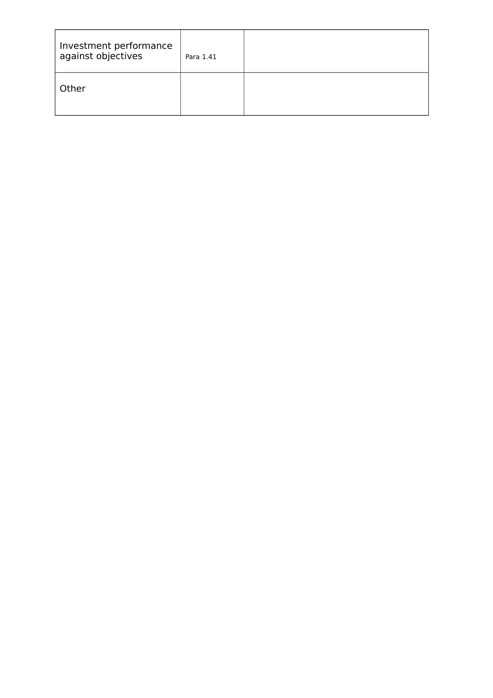| Investment performance<br>against objectives | Para 1.41 |  |
|----------------------------------------------|-----------|--|
| Other                                        |           |  |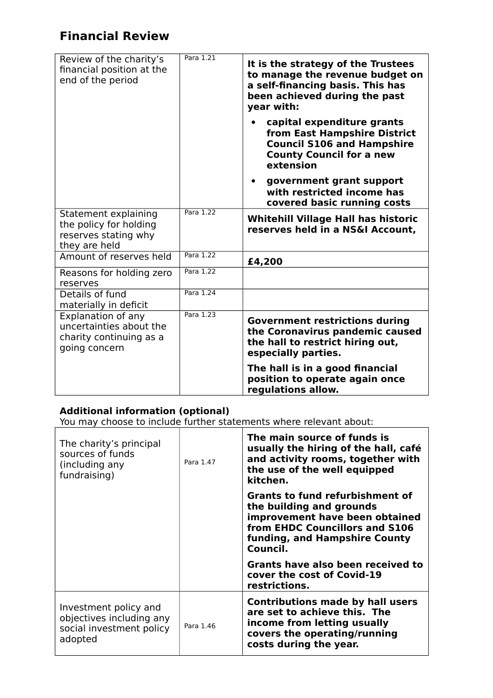# **Financial Review**

| Review of the charity's<br>financial position at the<br>end of the period                 | Para 1.21 | It is the strategy of the Trustees<br>to manage the revenue budget on<br>a self-financing basis. This has<br>been achieved during the past<br>year with: |
|-------------------------------------------------------------------------------------------|-----------|----------------------------------------------------------------------------------------------------------------------------------------------------------|
|                                                                                           |           | capital expenditure grants<br>from East Hampshire District<br><b>Council S106 and Hampshire</b><br><b>County Council for a new</b><br>extension          |
|                                                                                           |           | government grant support<br>with restricted income has<br>covered basic running costs                                                                    |
| Statement explaining<br>the policy for holding<br>reserves stating why<br>they are held   | Para 1.22 | <b>Whitehill Village Hall has historic</b><br>reserves held in a NS&I Account,                                                                           |
| Amount of reserves held                                                                   | Para 1.22 | £4,200                                                                                                                                                   |
| Reasons for holding zero<br>reserves                                                      | Para 1.22 |                                                                                                                                                          |
| Details of fund<br>materially in deficit                                                  | Para 1.24 |                                                                                                                                                          |
| Explanation of any<br>uncertainties about the<br>charity continuing as a<br>going concern | Para 1.23 | <b>Government restrictions during</b><br>the Coronavirus pandemic caused<br>the hall to restrict hiring out,<br>especially parties.                      |
|                                                                                           |           | The hall is in a good financial<br>position to operate again once<br>regulations allow.                                                                  |

#### **Additional information (optional)**

| The charity's principal<br>sources of funds<br>(including any<br>fundraising)            | Para 1.47 | The main source of funds is<br>usually the hiring of the hall, café<br>and activity rooms, together with<br>the use of the well equipped<br>kitchen.                                |
|------------------------------------------------------------------------------------------|-----------|-------------------------------------------------------------------------------------------------------------------------------------------------------------------------------------|
|                                                                                          |           | <b>Grants to fund refurbishment of</b><br>the building and grounds<br>improvement have been obtained<br>from EHDC Councillors and S106<br>funding, and Hampshire County<br>Council. |
|                                                                                          |           | Grants have also been received to<br>cover the cost of Covid-19<br>restrictions.                                                                                                    |
| Investment policy and<br>objectives including any<br>social investment policy<br>adopted | Para 1.46 | <b>Contributions made by hall users</b><br>are set to achieve this. The<br>income from letting usually<br>covers the operating/running<br>costs during the year.                    |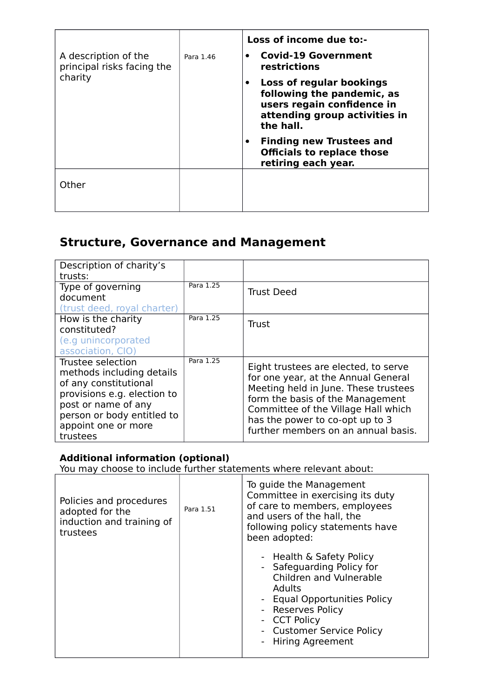| A description of the<br>principal risks facing the<br>charity | Para 1.46 | Loss of income due to:-<br><b>Covid-19 Government</b><br>restrictions                                                                           |
|---------------------------------------------------------------|-----------|-------------------------------------------------------------------------------------------------------------------------------------------------|
|                                                               |           | Loss of regular bookings<br>$\bullet$<br>following the pandemic, as<br>users regain confidence in<br>attending group activities in<br>the hall. |
|                                                               |           | <b>Finding new Trustees and</b><br><b>Officials to replace those</b><br>retiring each year.                                                     |
| Other                                                         |           |                                                                                                                                                 |

## **Structure, Governance and Management**

| Description of charity's    |           |                                      |
|-----------------------------|-----------|--------------------------------------|
|                             |           |                                      |
| trusts:                     |           |                                      |
| Type of governing           | Para 1.25 |                                      |
| document                    |           | <b>Trust Deed</b>                    |
| (trust deed, royal charter) |           |                                      |
|                             |           |                                      |
| How is the charity          | Para 1.25 | <b>Trust</b>                         |
| constituted?                |           |                                      |
| (e.g unincorporated         |           |                                      |
| association, CIO)           |           |                                      |
| Trustee selection           | Para 1.25 |                                      |
| methods including details   |           | Eight trustees are elected, to serve |
| of any constitutional       |           | for one year, at the Annual General  |
|                             |           | Meeting held in June. These trustees |
| provisions e.g. election to |           | form the basis of the Management     |
| post or name of any         |           |                                      |
| person or body entitled to  |           | Committee of the Village Hall which  |
| appoint one or more         |           | has the power to co-opt up to 3      |
|                             |           | further members on an annual basis.  |
| trustees                    |           |                                      |

### **Additional information (optional)**

| Policies and procedures<br>adopted for the<br>induction and training of<br>trustees | Para 1.51 | To guide the Management<br>Committee in exercising its duty<br>of care to members, employees<br>and users of the hall, the<br>following policy statements have<br>been adopted:                                                |
|-------------------------------------------------------------------------------------|-----------|--------------------------------------------------------------------------------------------------------------------------------------------------------------------------------------------------------------------------------|
|                                                                                     |           | - Health & Safety Policy<br>- Safeguarding Policy for<br>Children and Vulnerable<br><b>Adults</b><br>- Equal Opportunities Policy<br>- Reserves Policy<br>- CCT Policy<br>- Customer Service Policy<br><b>Hiring Agreement</b> |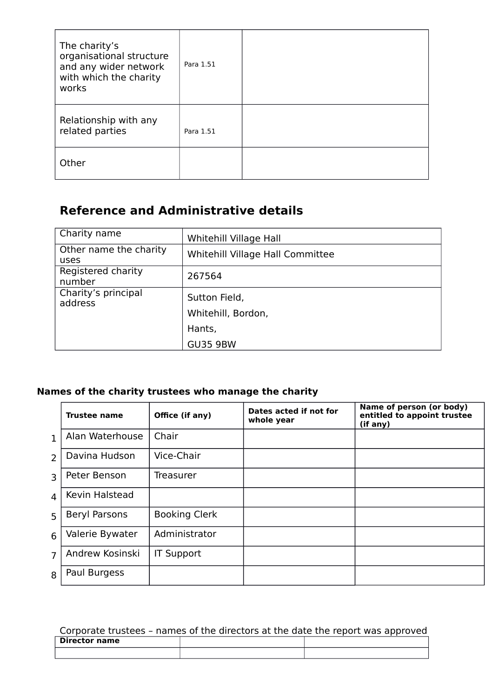| The charity's<br>organisational structure<br>and any wider network<br>with which the charity<br>works | Para 1.51 |  |
|-------------------------------------------------------------------------------------------------------|-----------|--|
| Relationship with any<br>related parties                                                              | Para 1.51 |  |
| Other                                                                                                 |           |  |

# **Reference and Administrative details**

| Charity name                   | Whitehill Village Hall              |
|--------------------------------|-------------------------------------|
| Other name the charity<br>uses | Whitehill Village Hall Committee    |
| Registered charity<br>number   | 267564                              |
| Charity's principal<br>address | Sutton Field,<br>Whitehill, Bordon, |
|                                |                                     |
|                                | Hants,                              |
|                                | <b>GU35 9BW</b>                     |
|                                |                                     |

### **Names of the charity trustees who manage the charity**

|                | <b>Trustee name</b>  | Office (if any)      | Dates acted if not for<br>whole year | Name of person (or body)<br>entitled to appoint trustee<br>(if any) |
|----------------|----------------------|----------------------|--------------------------------------|---------------------------------------------------------------------|
| $\mathbf{1}$   | Alan Waterhouse      | Chair                |                                      |                                                                     |
| $\overline{2}$ | Davina Hudson        | Vice-Chair           |                                      |                                                                     |
| $\overline{3}$ | Peter Benson         | Treasurer            |                                      |                                                                     |
| $\overline{4}$ | Kevin Halstead       |                      |                                      |                                                                     |
| 5              | <b>Beryl Parsons</b> | <b>Booking Clerk</b> |                                      |                                                                     |
| 6              | Valerie Bywater      | Administrator        |                                      |                                                                     |
| 7              | Andrew Kosinski      | <b>IT Support</b>    |                                      |                                                                     |
| 8              | Paul Burgess         |                      |                                      |                                                                     |

## Corporate trustees – names of the directors at the date the report was approved **Director name**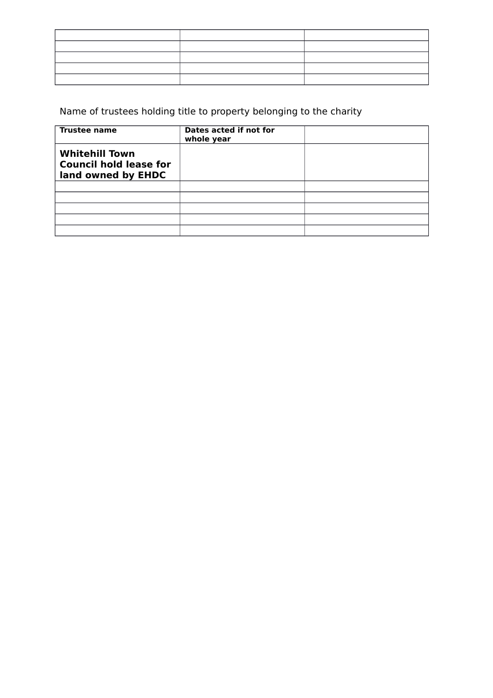# Name of trustees holding title to property belonging to the charity

| <b>Trustee name</b>                                                          | Dates acted if not for<br>whole year |  |
|------------------------------------------------------------------------------|--------------------------------------|--|
| <b>Whitehill Town</b><br><b>Council hold lease for</b><br>land owned by EHDC |                                      |  |
|                                                                              |                                      |  |
|                                                                              |                                      |  |
|                                                                              |                                      |  |
|                                                                              |                                      |  |
|                                                                              |                                      |  |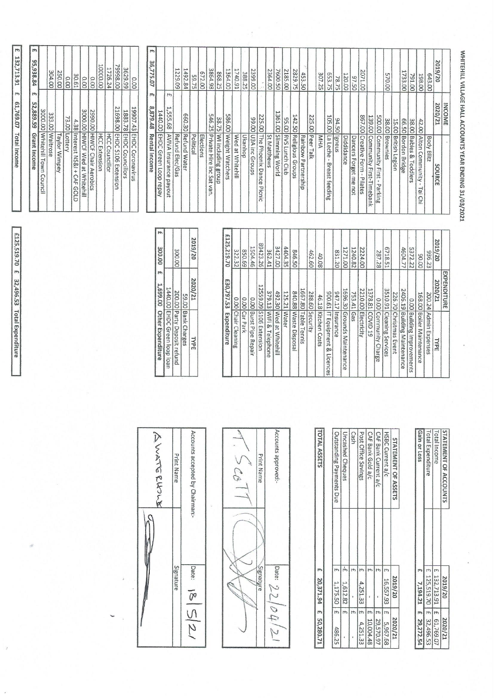E 132,713.91 E 61,769.07 Total Income

£125,519.70 £ 32,496.53 Total Expenditure

| Whitehill Town<br>$\Omega$<br>council                    | 3000.00                            |                                               |   |
|----------------------------------------------------------|------------------------------------|-----------------------------------------------|---|
| Waitrose                                                 | 333.00                             | 304,00                                        |   |
| Taylor<br>Wimpey                                         |                                    | $\sim$<br><b>150.00</b>                       |   |
| Interest<br>Lottery                                      | 73.00                              | $\overline{0.00}$                             |   |
| HIWCF Wed at Whitehill<br>$MSRI +$<br>CAF<br>GOOD        | 3000.00<br>4.38                    | 30.61<br>0.00                                 |   |
| <b>HIWCF Chair Aerobics</b>                              | 00'0662                            | 0.00                                          |   |
| <b>HCC Extension</b>                                     |                                    | 0000.00                                       |   |
| <b>HCC Councillor</b>                                    |                                    | 1726.24                                       |   |
| <b>EHDC</b><br><b>S106</b><br>Extension                  | $\sim$<br>1698.00                  | 00'8666                                       |   |
| <b>EHDC</b><br><b>EHDC</b><br>Councillors<br>Coronavirus | L<br>9907.43<br>1883.<br>$\approx$ | 3629.99<br>0.00                               |   |
|                                                          |                                    |                                               |   |
| <b>Rental Income</b>                                     | 879.48                             | 36,<br>$\overline{\phantom{0}}$<br>75.07<br>m | m |
| EHDC Green Loop repay                                    | 1440.00                            |                                               |   |
| AVIVA Insurance<br>payout                                | 1,555.68                           | m                                             |   |
| Refund Elec/Gas                                          |                                    | ۳<br>229.09                                   |   |
| <b>Refund Water</b>                                      | 660.30                             | 1492.84                                       |   |
| Political<br>Elections                                   |                                    | 672.00<br>59.75                               |   |
| Private Hire<br>jnc<br>Sat<br>van.                       |                                    | 3864.98                                       |   |
| WI including<br>Brou<br>ಕಾ                               | 546.25<br>38.<br>75                | 868.25                                        |   |
| Weight Watchers                                          | 586.00                             | 1364.00                                       |   |
| Wed at Whitehill                                         |                                    | 1740.91                                       |   |
| Ukanhop                                                  |                                    | 388.25                                        |   |
| U3A inc Groups                                           | 00'66                              | 2399.00                                       |   |
| The Phoenix Danc<br>$\sigma$<br>Picnic                   | 225.00                             |                                               |   |
| St Matthews                                              |                                    | 2364.00                                       |   |
| Slimming World                                           | ⊢<br>361.00                        | 7600.50                                       |   |
| RVS<br>Lunch Club                                        | 02.00                              | N<br>2185.00                                  |   |
| Religious Groups                                         | 142.50                             | 2829.75                                       |   |
| Rainbow<br>Partners<br>щь                                |                                    | 453.<br>SO <sub>1</sub>                       |   |
| Peer Talk                                                | 225.00                             |                                               |   |
| MHA<br>feeding                                           |                                    | 307.25                                        |   |
| La Leche<br>Igneus<br>$\mathbf{r}$<br>Breast             | 105.00<br>94.<br>ġ                 | 653.75<br>78.75                               |   |
| Diddidance                                               |                                    | 120.00                                        |   |
| Dancers<br>Forget<br>me not                              |                                    | 97.50                                         |   |
| Creative Form -<br>Pilates                               | 00'198                             | 2071.00                                       |   |
| Community First-Timebank                                 | 139.00                             |                                               |   |
| Community First<br>×.<br>Parking                         | 00.003                             |                                               |   |
| Brownies                                                 | 38.00                              | 570.00                                        |   |
| <b>British Legion</b>                                    | 15.00                              |                                               |   |
| <b>Bordon Bridge</b>                                     | 05'99                              | 1733.00                                       |   |
| <b>Babies &amp;</b><br>Toddlers                          | 38.00                              | 791.00                                        |   |
| Alton Community<br>$\mathbf{r}$<br><b>Tai</b><br>Chi     | 42.00                              | 198.00                                        |   |
| Body<br>Blitz                                            |                                    | 643.00                                        |   |
| source                                                   | 2020/21                            | 2019/20                                       |   |
|                                                          | <b>INCOME</b>                      |                                               |   |

|                                | £30,797.53<br>Expenditure | £125,219.70 |  |
|--------------------------------|---------------------------|-------------|--|
| Chair Cleaning                 | 0.00                      | 322.32      |  |
| Car Park                       | 0.00                      | 69.058      |  |
| Burst Pipe<br>Repair           | 0.00                      | 1504.46     |  |
| S106 Extension                 | 12559.09                  | 89423.26    |  |
| WiFi & Telephone               | 379.13                    | 362.41      |  |
| <b>Med</b><br>at Whitehill     | 492.30                    | 3427.00     |  |
| <b>Water</b>                   | 125.21                    | 4404.35     |  |
| Maste Disposal                 | 840.88                    | 05'978      |  |
| Table Tennis                   | 1667.80                   |             |  |
| Security                       | 288.60                    | 462.60      |  |
| Kitchen Costs                  | 46.18                     | 40.08       |  |
| IT Equipment<br>ğ,<br>Licences | 19'006                    |             |  |
| Insurance                      | 947.17                    | 831.20      |  |
| Grounds Maintenance            | 1696.30                   | 1271.00     |  |
| cep                            | 753.41                    | 1240.82     |  |
| Electricity                    | 2210.00                   | 2224.00     |  |
| COVID <sub>19</sub>            | 1378.81                   |             |  |
| Community Charge               | 0.00                      | 287.28      |  |
| Cleaning Services              | 3510.91                   | 5718.51     |  |
| Christmas Event                | 226.70                    |             |  |
| <b>Building Maintenance</b>    | 2406.19                   | 4604.77     |  |
| <b>Building Improvements</b>   | 0.00                      | 5372.22     |  |
| Boiler Maintenance             | 168.00                    | 00.09       |  |
| Admin Expenses                 | 200.24                    | 936.23      |  |
| <b>TYPE</b>                    | 2020/21                   | 2019/20     |  |
|                                | EXPENDITURE               |             |  |

**TOTAL ASSETS** 

E 20,371.94 E 50,280.71

| 1,699.00 Other Expenditure   |         | 300.00 £ |  |
|------------------------------|---------|----------|--|
| 1440.00 EHDC Green loop loan |         |          |  |
| 200.00 Party Deposit refund  |         | 300.00   |  |
| 59.00 Bank Charges           |         |          |  |
| TYPE                         | 2020/21 | 2019/20  |  |

| STATEMENT OF ACCOUNTS | 2019/20                    | 2020/21 |
|-----------------------|----------------------------|---------|
| Total Income          | £ 132,713.91   £ 61,769.07 |         |
| Total Expenditure     | £ 125,519.70   £ 32,496.53 |         |
| Gain or Loss          | 7.194.21 £ 29,272.54       |         |

WHITEHILL VILLAGE HALL ACCOUNTS YEAR ENDING 31/03/2021

| STATEMENT OF ASSETS      |    | 2019/20   |            | 2020/21   |
|--------------------------|----|-----------|------------|-----------|
| HSBC Current a/c         | m  | 16,557.93 | m          | 5,967.68  |
| CAF Bank Current a/c     |    |           | m          | 29,570.97 |
| CAF Bank Gold a/c        | m  |           | $\uparrow$ | 10,004.48 |
| Post Office Savings      |    | 4,251.33  | H          | 4,251.33  |
| Cash                     | th |           | m          |           |
| Uncashed Cheques         | 'n | 1,612.82  | H          |           |
| Outstanding Payments Due |    | 1,175.50  | m          | 486.25    |

| Print Name | Accounts approved:- |  |
|------------|---------------------|--|
|            |                     |  |
|            |                     |  |
| Signature  |                     |  |
|            | Date: $22/04/2$     |  |

| ANATERWA | Print Name | Accounts accepted by Chairman:-                                                                    |
|----------|------------|----------------------------------------------------------------------------------------------------|
|          | Signature  | $\begin{array}{ll} \text{Date:} & \text{IS} \mid \text{S} \mid \text{S} \mid \text{2} \end{array}$ |